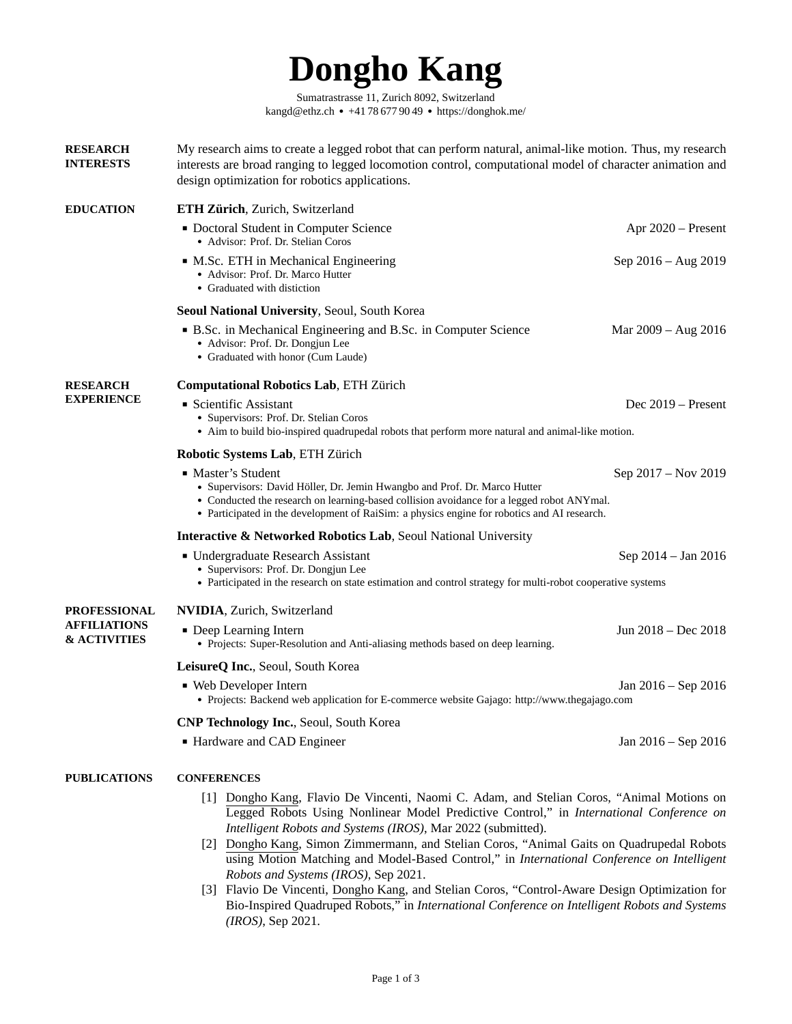# **Dongho Kang**

[Sumatrastrasse 11, Zurich 8092, Switzerland](https://goo.gl/maps/WcQAnibosWLJzYhx5) [kangd@ethz.ch](mailto:kangd@ethz.ch) ● +41 78 677 90 49 ● <https://donghok.me/>

<span id="page-0-0"></span>

| <b>RESEARCH</b><br><b>INTERESTS</b>                            | My research aims to create a legged robot that can perform natural, animal-like motion. Thus, my research<br>interests are broad ranging to legged locomotion control, computational model of character animation and<br>design optimization for robotics applications.                     |                     |  |  |
|----------------------------------------------------------------|---------------------------------------------------------------------------------------------------------------------------------------------------------------------------------------------------------------------------------------------------------------------------------------------|---------------------|--|--|
| <b>EDUCATION</b>                                               | ETH Zürich, Zurich, Switzerland                                                                                                                                                                                                                                                             |                     |  |  |
|                                                                | ■ Doctoral Student in Computer Science<br>• Advisor: Prof. Dr. Stelian Coros                                                                                                                                                                                                                | Apr 2020 – Present  |  |  |
|                                                                | • M.Sc. ETH in Mechanical Engineering<br>• Advisor: Prof. Dr. Marco Hutter<br>• Graduated with distiction                                                                                                                                                                                   | Sep 2016 – Aug 2019 |  |  |
|                                                                | Seoul National University, Seoul, South Korea                                                                                                                                                                                                                                               |                     |  |  |
|                                                                | • B.Sc. in Mechanical Engineering and B.Sc. in Computer Science<br>• Advisor: Prof. Dr. Dongjun Lee<br>• Graduated with honor (Cum Laude)                                                                                                                                                   | Mar 2009 - Aug 2016 |  |  |
| <b>RESEARCH</b><br><b>EXPERIENCE</b>                           | <b>Computational Robotics Lab, ETH Zürich</b>                                                                                                                                                                                                                                               |                     |  |  |
|                                                                | ■ Scientific Assistant<br>• Supervisors: Prof. Dr. Stelian Coros<br>• Aim to build bio-inspired quadrupedal robots that perform more natural and animal-like motion.                                                                                                                        | Dec 2019 – Present  |  |  |
|                                                                | <b>Robotic Systems Lab, ETH Zürich</b>                                                                                                                                                                                                                                                      |                     |  |  |
|                                                                | ■ Master's Student<br>• Supervisors: David Höller, Dr. Jemin Hwangbo and Prof. Dr. Marco Hutter<br>• Conducted the research on learning-based collision avoidance for a legged robot ANYmal.<br>• Participated in the development of RaiSim: a physics engine for robotics and AI research. | Sep 2017 - Nov 2019 |  |  |
|                                                                | <b>Interactive &amp; Networked Robotics Lab, Seoul National University</b>                                                                                                                                                                                                                  |                     |  |  |
|                                                                | • Undergraduate Research Assistant<br>• Supervisors: Prof. Dr. Dongjun Lee<br>• Participated in the research on state estimation and control strategy for multi-robot cooperative systems                                                                                                   | Sep 2014 - Jan 2016 |  |  |
| PROFESSIONAL<br><b>AFFILIATIONS</b><br><b>&amp; ACTIVITIES</b> | <b>NVIDIA</b> , Zurich, Switzerland                                                                                                                                                                                                                                                         |                     |  |  |
|                                                                | ■ Deep Learning Intern<br>• Projects: Super-Resolution and Anti-aliasing methods based on deep learning.                                                                                                                                                                                    | Jun 2018 – Dec 2018 |  |  |
|                                                                | LeisureQ Inc., Seoul, South Korea                                                                                                                                                                                                                                                           |                     |  |  |
|                                                                | • Web Developer Intern<br>• Projects: Backend web application for E-commerce website Gajago: http://www.thegajago.com                                                                                                                                                                       | Jan 2016 – Sep 2016 |  |  |
|                                                                | <b>CNP Technology Inc., Seoul, South Korea</b>                                                                                                                                                                                                                                              |                     |  |  |
|                                                                | ■ Hardware and CAD Engineer                                                                                                                                                                                                                                                                 | Jan 2016 – Sep 2016 |  |  |
| <b>PUBLICATIONS</b>                                            | <b>CONFERENCES</b>                                                                                                                                                                                                                                                                          |                     |  |  |
|                                                                | [1] Dongho Kang, Flavio De Vincenti, Naomi C. Adam, and Stelian Coros, "Animal Motions on                                                                                                                                                                                                   |                     |  |  |

- Legged Robots Using Nonlinear Model Predictive Control," in *International Conference on Intelligent Robots and Systems (IROS)*, Mar 2022 (submitted). [2] Dongho Kang, Simon Zimmermann, and Stelian Coros, "Animal Gaits on Quadrupedal Robots using Motion Matching and Model-Based Control," in *International Conference on Intelligent*
- *Robots and Systems (IROS)*, Sep 2021. [3] Flavio De Vincenti, Dongho Kang, and Stelian Coros, "Control-Aware Design Optimization for Bio-Inspired Quadruped Robots," in *International Conference on Intelligent Robots and Systems (IROS)*, Sep 2021.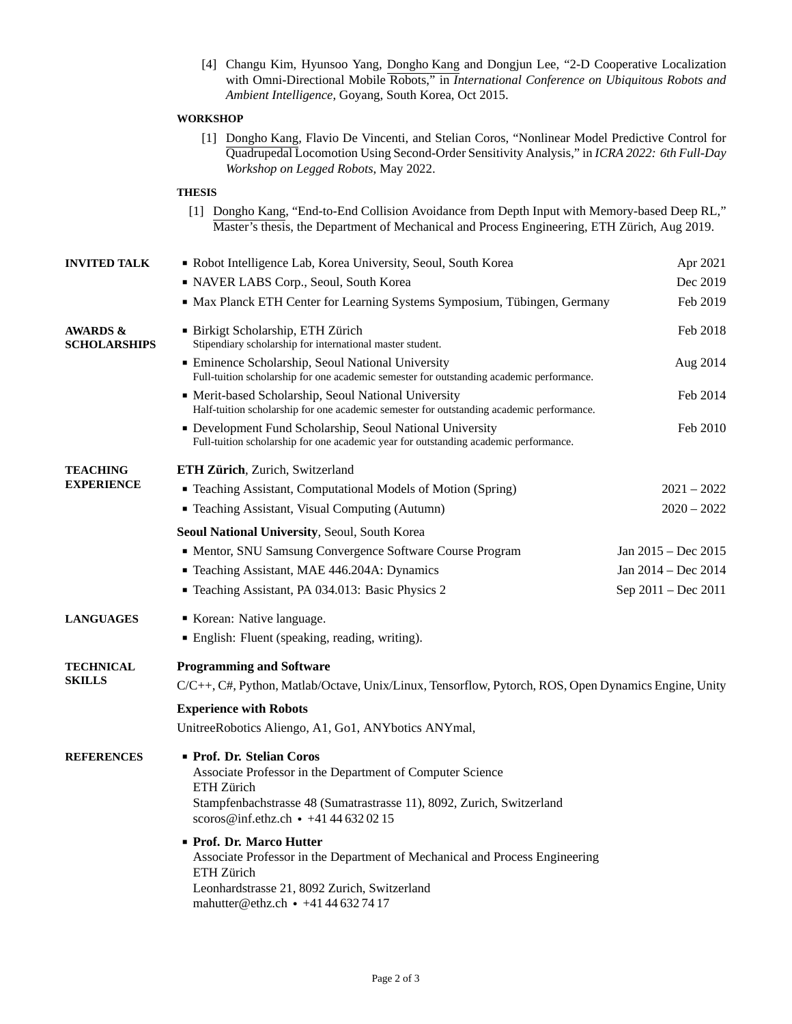[4] Changu Kim, Hyunsoo Yang, Dongho Kang [and Dongjun Lee, "2-D Cooperative Localization](https://ieeexplore.ieee.org/abstract/document/7358894) with Omni-Directional Mobile Robots," in *[International Conference on Ubiquitous Robots and](https://ieeexplore.ieee.org/abstract/document/7358894) Ambient Intelligence*[, Goyang, South Korea, Oct 2015.](https://ieeexplore.ieee.org/abstract/document/7358894)

#### **WORKSHOP**

[1] Dongho Kang, Flavio De Vincenti, and Stelian Coros, "Nonlinear Model Predictive Control for Quadrupedal Locomotion Using Second-Order Sensitivity Analysis," in *ICRA 2022: 6th Full-Day Workshop on Legged Robots*, May 2022.

## **THESIS**

| [1] Dongho Kang, "End-to-End Collision Avoidance from Depth Input with Memory-based Deep RL," |
|-----------------------------------------------------------------------------------------------|
| Master's thesis, the Department of Mechanical and Process Engineering, ETH Zürich, Aug 2019.  |

| <b>INVITED TALK</b>                        | Robot Intelligence Lab, Korea University, Seoul, South Korea                                                                                                                                                         | Apr 2021            |  |
|--------------------------------------------|----------------------------------------------------------------------------------------------------------------------------------------------------------------------------------------------------------------------|---------------------|--|
|                                            | NAVER LABS Corp., Seoul, South Korea                                                                                                                                                                                 | Dec 2019            |  |
|                                            | • Max Planck ETH Center for Learning Systems Symposium, Tübingen, Germany                                                                                                                                            | Feb 2019            |  |
| <b>AWARDS &amp;</b><br><b>SCHOLARSHIPS</b> | · Birkigt Scholarship, ETH Zürich<br>Stipendiary scholarship for international master student.                                                                                                                       | Feb 2018            |  |
|                                            | <b>Eminence Scholarship, Seoul National University</b><br>Full-tuition scholarship for one academic semester for outstanding academic performance.                                                                   | Aug 2014            |  |
|                                            | • Merit-based Scholarship, Seoul National University<br>Half-tuition scholarship for one academic semester for outstanding academic performance.                                                                     | Feb 2014            |  |
|                                            | • Development Fund Scholarship, Seoul National University<br>Full-tuition scholarship for one academic year for outstanding academic performance.                                                                    | Feb 2010            |  |
| <b>TEACHING</b>                            | ETH Zürich, Zurich, Switzerland                                                                                                                                                                                      |                     |  |
| <b>EXPERIENCE</b>                          | • Teaching Assistant, Computational Models of Motion (Spring)                                                                                                                                                        | $2021 - 2022$       |  |
|                                            | <b>Teaching Assistant, Visual Computing (Autumn)</b>                                                                                                                                                                 | $2020 - 2022$       |  |
|                                            | Seoul National University, Seoul, South Korea                                                                                                                                                                        |                     |  |
|                                            | • Mentor, SNU Samsung Convergence Software Course Program                                                                                                                                                            | Jan 2015 - Dec 2015 |  |
|                                            | Teaching Assistant, MAE 446.204A: Dynamics                                                                                                                                                                           | Jan 2014 – Dec 2014 |  |
|                                            | Teaching Assistant, PA 034.013: Basic Physics 2                                                                                                                                                                      | Sep 2011 - Dec 2011 |  |
| <b>LANGUAGES</b>                           | Korean: Native language.                                                                                                                                                                                             |                     |  |
|                                            | <b>English: Fluent (speaking, reading, writing).</b>                                                                                                                                                                 |                     |  |
| <b>TECHNICAL</b>                           | <b>Programming and Software</b>                                                                                                                                                                                      |                     |  |
| <b>SKILLS</b>                              | C/C++, C#, Python, Matlab/Octave, Unix/Linux, Tensorflow, Pytorch, ROS, Open Dynamics Engine, Unity                                                                                                                  |                     |  |
|                                            | <b>Experience with Robots</b>                                                                                                                                                                                        |                     |  |
|                                            | UnitreeRobotics Aliengo, A1, Go1, ANYbotics ANYmal,                                                                                                                                                                  |                     |  |
| <b>REFERENCES</b>                          | Prof. Dr. Stelian Coros<br>Associate Professor in the Department of Computer Science<br>ETH Zürich<br>Stampfenbachstrasse 48 (Sumatrastrasse 11), 8092, Zurich, Switzerland<br>scoros@inf.ethz.ch • +41 44 632 02 15 |                     |  |
|                                            | ■ Prof. Dr. Marco Hutter<br>Associate Professor in the Department of Mechanical and Process Engineering<br>ETH Zürich<br>Leonhardstrasse 21, 8092 Zurich, Switzerland<br>mahutter@ethz.ch • +41 44 632 74 17         |                     |  |